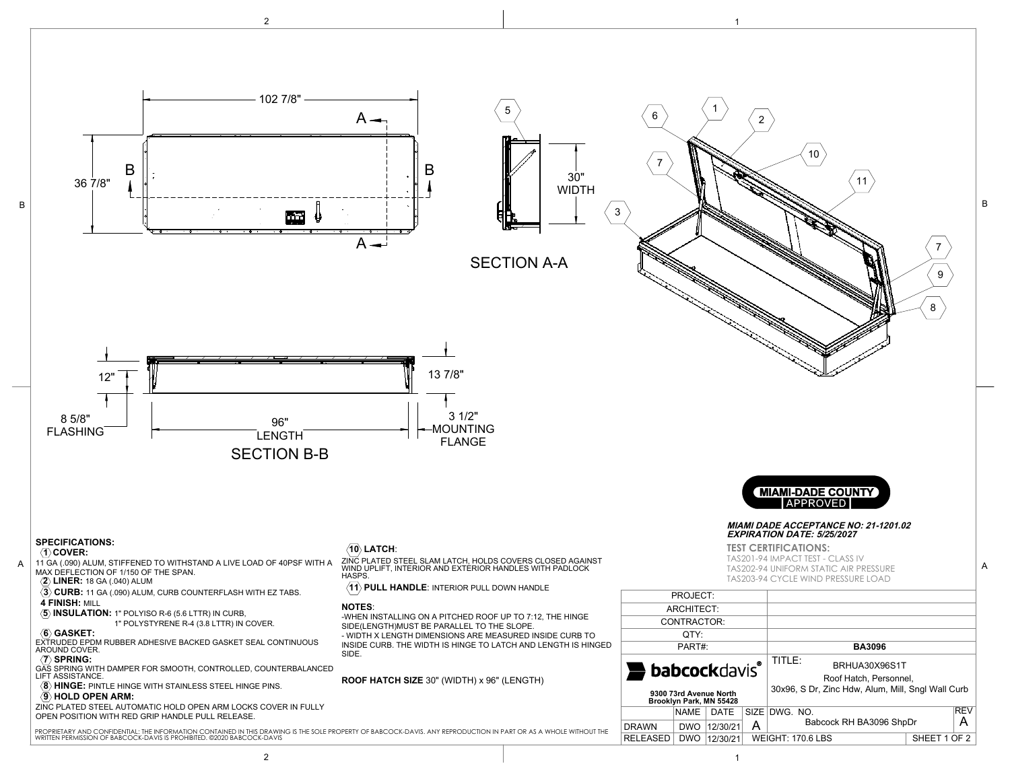